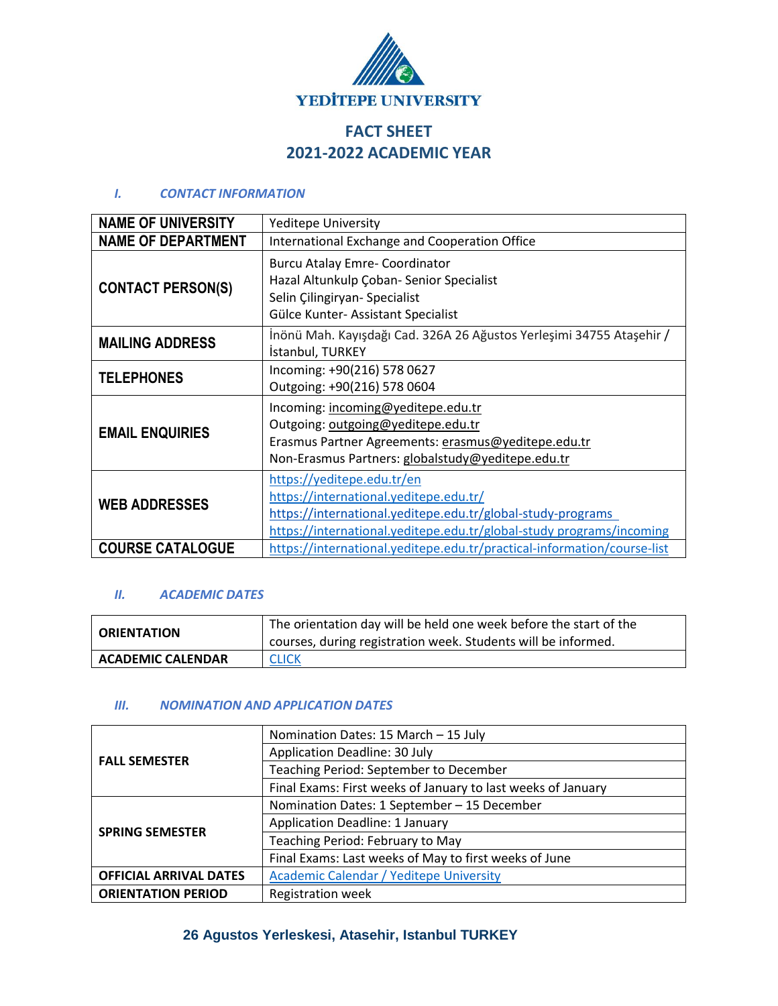

# **FACT SHEET 2021-2022 ACADEMIC YEAR**

#### *I. CONTACT INFORMATION*

| <b>NAME OF UNIVERSITY</b> | <b>Yeditepe University</b>                                                                                                                                                                                  |  |
|---------------------------|-------------------------------------------------------------------------------------------------------------------------------------------------------------------------------------------------------------|--|
| <b>NAME OF DEPARTMENT</b> | International Exchange and Cooperation Office                                                                                                                                                               |  |
| <b>CONTACT PERSON(S)</b>  | <b>Burcu Atalay Emre- Coordinator</b><br>Hazal Altunkulp Çoban- Senior Specialist<br>Selin Çilingiryan- Specialist<br>Gülce Kunter- Assistant Specialist                                                    |  |
| <b>MAILING ADDRESS</b>    | İnönü Mah. Kayışdağı Cad. 326A 26 Ağustos Yerleşimi 34755 Ataşehir /<br>İstanbul, TURKEY                                                                                                                    |  |
| <b>TELEPHONES</b>         | Incoming: +90(216) 578 0627<br>Outgoing: +90(216) 578 0604                                                                                                                                                  |  |
| <b>EMAIL ENQUIRIES</b>    | Incoming: incoming@yeditepe.edu.tr<br>Outgoing: outgoing@yeditepe.edu.tr<br>Erasmus Partner Agreements: erasmus@yeditepe.edu.tr<br>Non-Erasmus Partners: globalstudy@yeditepe.edu.tr                        |  |
| <b>WEB ADDRESSES</b>      | https://yeditepe.edu.tr/en<br>https://international.yeditepe.edu.tr/<br>https://international.yeditepe.edu.tr/global-study-programs<br>https://international.yeditepe.edu.tr/global-study programs/incoming |  |
| <b>COURSE CATALOGUE</b>   | https://international.yeditepe.edu.tr/practical-information/course-list                                                                                                                                     |  |

#### *II. ACADEMIC DATES*

| <b>ORIENTATION</b>       | The orientation day will be held one week before the start of the<br>courses, during registration week. Students will be informed. |
|--------------------------|------------------------------------------------------------------------------------------------------------------------------------|
| <b>ACADEMIC CALENDAR</b> | <b>CLICK</b>                                                                                                                       |

## *III. NOMINATION AND APPLICATION DATES*

| <b>FALL SEMESTER</b>          | Nomination Dates: 15 March - 15 July                         |  |
|-------------------------------|--------------------------------------------------------------|--|
|                               | Application Deadline: 30 July                                |  |
|                               | Teaching Period: September to December                       |  |
|                               | Final Exams: First weeks of January to last weeks of January |  |
| <b>SPRING SEMESTER</b>        | Nomination Dates: 1 September - 15 December                  |  |
|                               | <b>Application Deadline: 1 January</b>                       |  |
|                               | Teaching Period: February to May                             |  |
|                               | Final Exams: Last weeks of May to first weeks of June        |  |
| <b>OFFICIAL ARRIVAL DATES</b> | <b>Academic Calendar / Yeditepe University</b>               |  |
| <b>ORIENTATION PERIOD</b>     | <b>Registration week</b>                                     |  |

## **26 Agustos Yerleskesi, Atasehir, Istanbul TURKEY**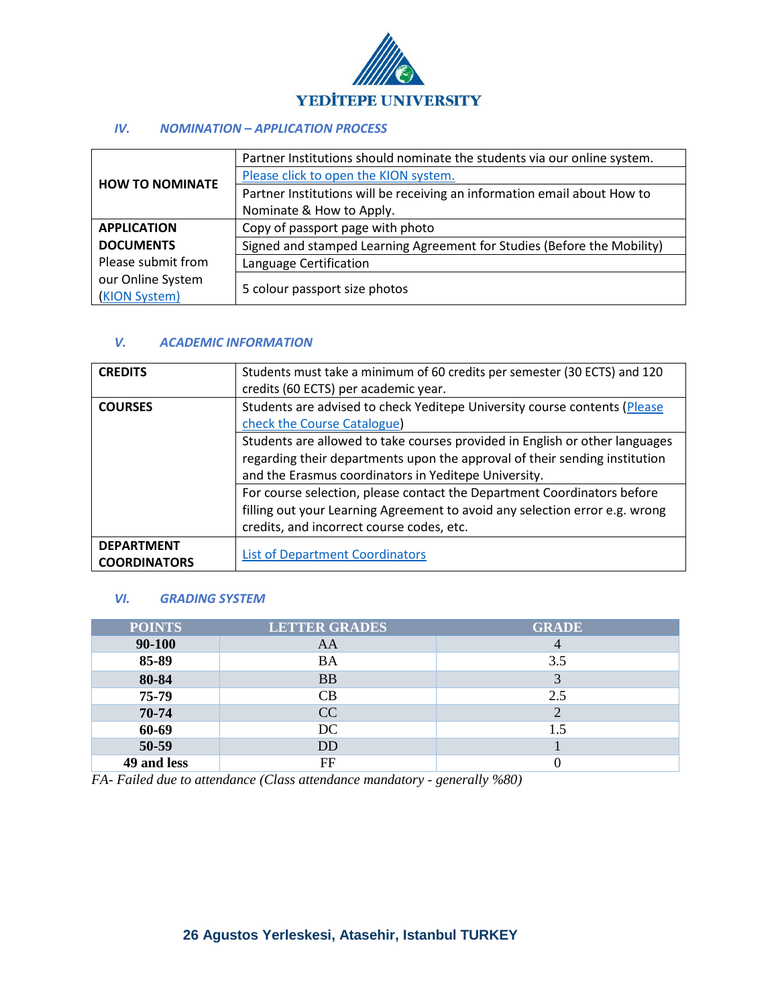

#### *IV. NOMINATION – APPLICATION PROCESS*

| <b>HOW TO NOMINATE</b> | Partner Institutions should nominate the students via our online system. |  |
|------------------------|--------------------------------------------------------------------------|--|
|                        | Please click to open the KION system.                                    |  |
|                        | Partner Institutions will be receiving an information email about How to |  |
|                        | Nominate & How to Apply.                                                 |  |
| <b>APPLICATION</b>     | Copy of passport page with photo                                         |  |
| <b>DOCUMENTS</b>       | Signed and stamped Learning Agreement for Studies (Before the Mobility)  |  |
| Please submit from     | Language Certification                                                   |  |
| our Online System      | 5 colour passport size photos                                            |  |
| (KION System)          |                                                                          |  |

#### *V. ACADEMIC INFORMATION*

| <b>CREDITS</b>      | Students must take a minimum of 60 credits per semester (30 ECTS) and 120   |
|---------------------|-----------------------------------------------------------------------------|
|                     | credits (60 ECTS) per academic year.                                        |
| <b>COURSES</b>      | Students are advised to check Yeditepe University course contents (Please   |
|                     | check the Course Catalogue)                                                 |
|                     | Students are allowed to take courses provided in English or other languages |
|                     | regarding their departments upon the approval of their sending institution  |
|                     | and the Erasmus coordinators in Yeditepe University.                        |
|                     | For course selection, please contact the Department Coordinators before     |
|                     | filling out your Learning Agreement to avoid any selection error e.g. wrong |
|                     | credits, and incorrect course codes, etc.                                   |
| <b>DEPARTMENT</b>   |                                                                             |
| <b>COORDINATORS</b> | <b>List of Department Coordinators</b>                                      |

#### *VI. GRADING SYSTEM*

| <b>POINTS</b> | <b>LETTER GRADES</b> | <b>GRADE</b> |
|---------------|----------------------|--------------|
| 90-100        | AA                   |              |
| 85-89         | <b>BA</b>            | 3.5          |
| 80-84         | <b>BB</b>            |              |
| 75-79         | CB                   | 2.5          |
| 70-74         | CC                   |              |
| 60-69         | DC                   | 1.5          |
| 50-59         | DD                   |              |
| 49 and less   | FF                   |              |

*FA- Failed due to attendance (Class attendance mandatory - generally %80)*